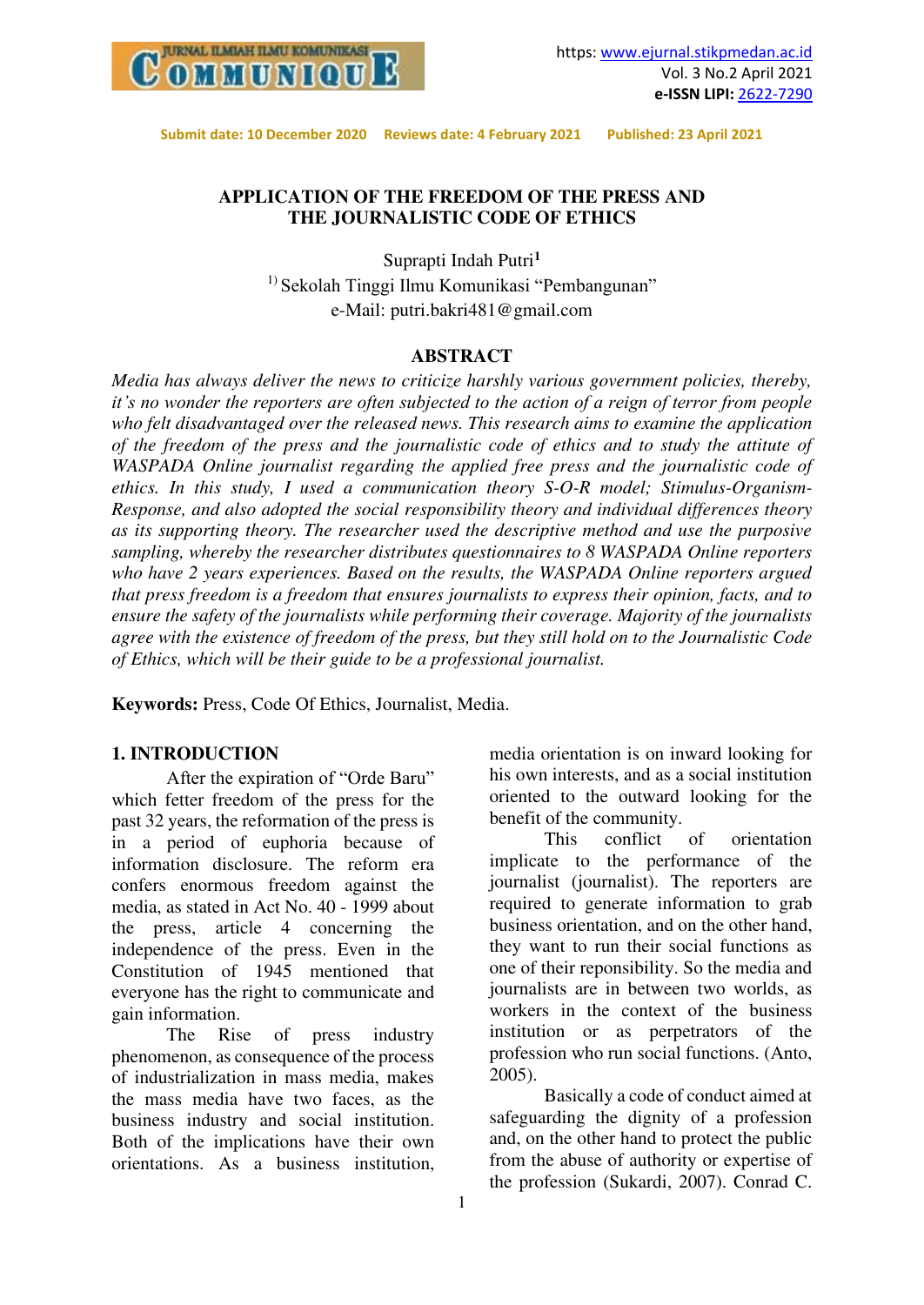

## **APPLICATION OF THE FREEDOM OF THE PRESS AND THE JOURNALISTIC CODE OF ETHICS**

Suprapti Indah Putri**<sup>1</sup>** <sup>1)</sup> Sekolah Tinggi Ilmu Komunikasi "Pembangunan" e-Mail: putri.bakri481@gmail.com

#### **ABSTRACT**

*Media has always deliver the news to criticize harshly various government policies, thereby, it's no wonder the reporters are often subjected to the action of a reign of terror from people who felt disadvantaged over the released news. This research aims to examine the application of the freedom of the press and the journalistic code of ethics and to study the attitute of WASPADA Online journalist regarding the applied free press and the journalistic code of ethics. In this study, I used a communication theory S-O-R model; Stimulus-Organism-Response, and also adopted the social responsibility theory and individual differences theory as its supporting theory. The researcher used the descriptive method and use the purposive sampling, whereby the researcher distributes questionnaires to 8 WASPADA Online reporters who have 2 years experiences. Based on the results, the WASPADA Online reporters argued that press freedom is a freedom that ensures journalists to express their opinion, facts, and to ensure the safety of the journalists while performing their coverage. Majority of the journalists agree with the existence of freedom of the press, but they still hold on to the Journalistic Code of Ethics, which will be their guide to be a professional journalist.* 

**Keywords:** Press, Code Of Ethics, Journalist, Media.

#### **1. INTRODUCTION**

After the expiration of "Orde Baru" which fetter freedom of the press for the past 32 years, the reformation of the press is in a period of euphoria because of information disclosure. The reform era confers enormous freedom against the media, as stated in Act No. 40 - 1999 about the press, article 4 concerning the independence of the press. Even in the Constitution of 1945 mentioned that everyone has the right to communicate and gain information.

The Rise of press industry phenomenon, as consequence of the process of industrialization in mass media, makes the mass media have two faces, as the business industry and social institution. Both of the implications have their own orientations. As a business institution, media orientation is on inward looking for his own interests, and as a social institution oriented to the outward looking for the benefit of the community.<br>This conflict

of orientation implicate to the performance of the journalist (journalist). The reporters are required to generate information to grab business orientation, and on the other hand, they want to run their social functions as one of their reponsibility. So the media and journalists are in between two worlds, as workers in the context of the business institution or as perpetrators of the profession who run social functions. (Anto, 2005).

Basically a code of conduct aimed at safeguarding the dignity of a profession and, on the other hand to protect the public from the abuse of authority or expertise of the profession (Sukardi, 2007). Conrad C.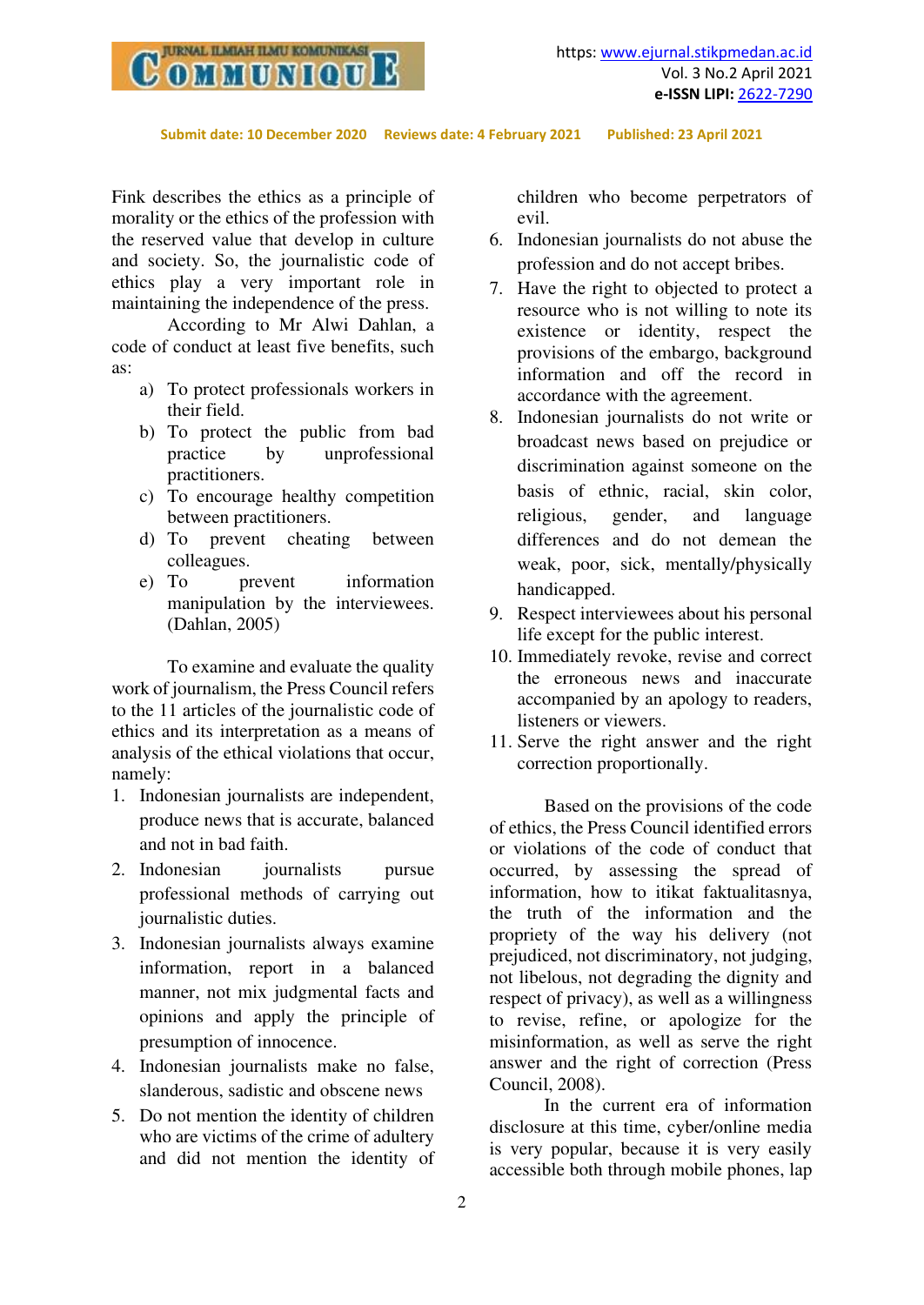

Fink describes the ethics as a principle of morality or the ethics of the profession with the reserved value that develop in culture and society. So, the journalistic code of ethics play a very important role in maintaining the independence of the press.

 According to Mr Alwi Dahlan, a code of conduct at least five benefits, such as:

- a) To protect professionals workers in their field.
- b) To protect the public from bad practice by unprofessional practitioners.
- c) To encourage healthy competition between practitioners.
- d) To prevent cheating between colleagues.
- e) To prevent information manipulation by the interviewees. (Dahlan, 2005)

To examine and evaluate the quality work of journalism, the Press Council refers to the 11 articles of the journalistic code of ethics and its interpretation as a means of analysis of the ethical violations that occur, namely:

- 1. Indonesian journalists are independent, produce news that is accurate, balanced and not in bad faith.
- 2. Indonesian journalists pursue professional methods of carrying out journalistic duties.
- 3. Indonesian journalists always examine information, report in a balanced manner, not mix judgmental facts and opinions and apply the principle of presumption of innocence.
- 4. Indonesian journalists make no false, slanderous, sadistic and obscene news
- 5. Do not mention the identity of children who are victims of the crime of adultery and did not mention the identity of

children who become perpetrators of evil.

- 6. Indonesian journalists do not abuse the profession and do not accept bribes.
- 7. Have the right to objected to protect a resource who is not willing to note its existence or identity, respect the provisions of the embargo, background information and off the record in accordance with the agreement.
- 8. Indonesian journalists do not write or broadcast news based on prejudice or discrimination against someone on the basis of ethnic, racial, skin color, religious, gender, and language differences and do not demean the weak, poor, sick, mentally/physically handicapped.
- 9. Respect interviewees about his personal life except for the public interest.
- 10. Immediately revoke, revise and correct the erroneous news and inaccurate accompanied by an apology to readers, listeners or viewers.
- 11. Serve the right answer and the right correction proportionally.

Based on the provisions of the code of ethics, the Press Council identified errors or violations of the code of conduct that occurred, by assessing the spread of information, how to itikat faktualitasnya, the truth of the information and the propriety of the way his delivery (not prejudiced, not discriminatory, not judging, not libelous, not degrading the dignity and respect of privacy), as well as a willingness to revise, refine, or apologize for the misinformation, as well as serve the right answer and the right of correction (Press Council, 2008).

In the current era of information disclosure at this time, cyber/online media is very popular, because it is very easily accessible both through mobile phones, lap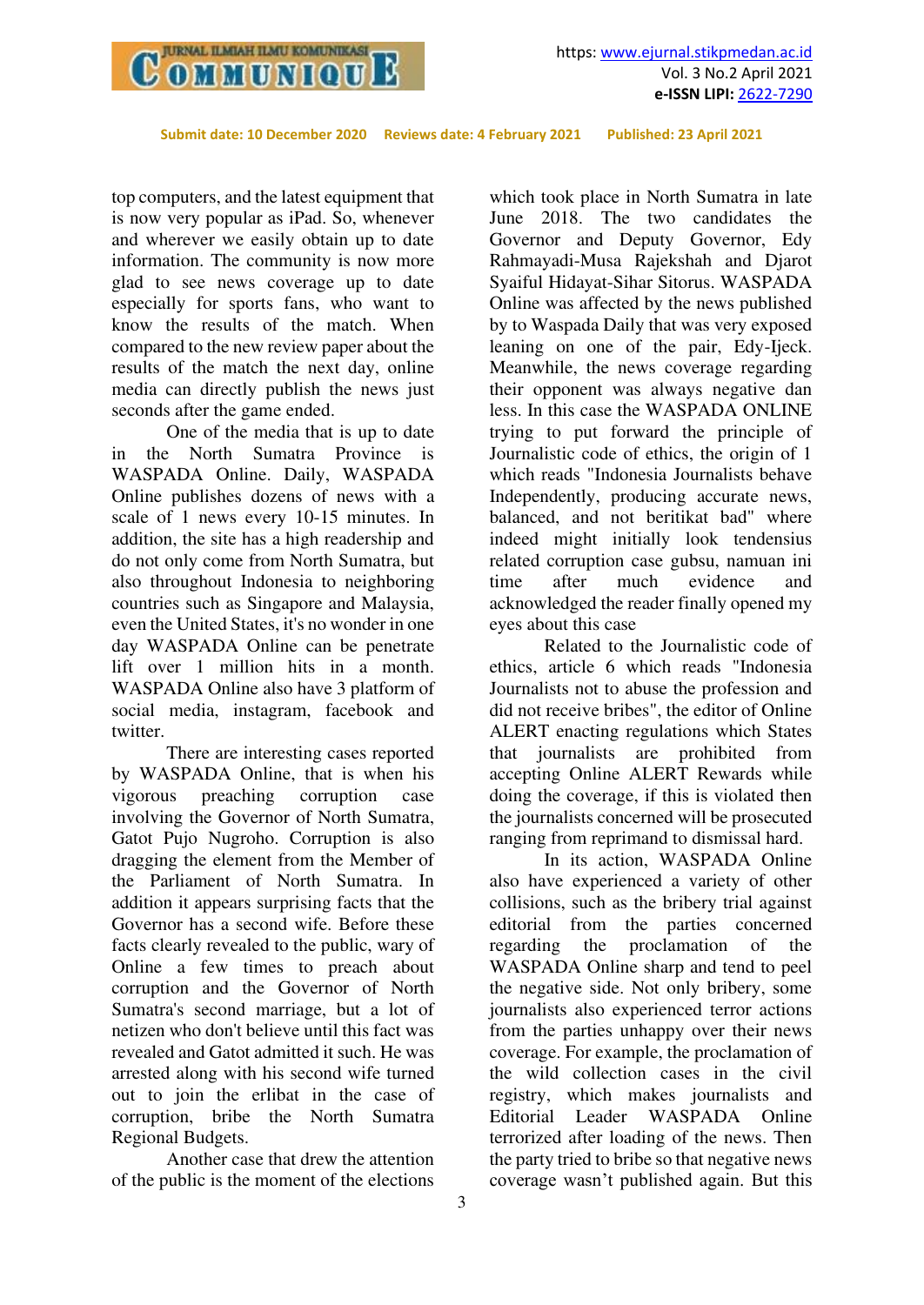

top computers, and the latest equipment that is now very popular as iPad. So, whenever and wherever we easily obtain up to date information. The community is now more glad to see news coverage up to date especially for sports fans, who want to know the results of the match. When compared to the new review paper about the results of the match the next day, online media can directly publish the news just seconds after the game ended.

One of the media that is up to date in the North Sumatra Province is WASPADA Online. Daily, WASPADA Online publishes dozens of news with a scale of 1 news every 10-15 minutes. In addition, the site has a high readership and do not only come from North Sumatra, but also throughout Indonesia to neighboring countries such as Singapore and Malaysia, even the United States, it's no wonder in one day WASPADA Online can be penetrate lift over 1 million hits in a month. WASPADA Online also have 3 platform of social media, instagram, facebook and twitter.

There are interesting cases reported by WASPADA Online, that is when his vigorous preaching corruption case involving the Governor of North Sumatra, Gatot Pujo Nugroho. Corruption is also dragging the element from the Member of the Parliament of North Sumatra. In addition it appears surprising facts that the Governor has a second wife. Before these facts clearly revealed to the public, wary of Online a few times to preach about corruption and the Governor of North Sumatra's second marriage, but a lot of netizen who don't believe until this fact was revealed and Gatot admitted it such. He was arrested along with his second wife turned out to join the erlibat in the case of corruption, bribe the North Sumatra Regional Budgets.

Another case that drew the attention of the public is the moment of the elections

which took place in North Sumatra in late June 2018. The two candidates the Governor and Deputy Governor, Edy Rahmayadi-Musa Rajekshah and Djarot Syaiful Hidayat-Sihar Sitorus. WASPADA Online was affected by the news published by to Waspada Daily that was very exposed leaning on one of the pair, Edy-Ijeck. Meanwhile, the news coverage regarding their opponent was always negative dan less. In this case the WASPADA ONLINE trying to put forward the principle of Journalistic code of ethics, the origin of 1 which reads "Indonesia Journalists behave Independently, producing accurate news, balanced, and not beritikat bad" where indeed might initially look tendensius related corruption case gubsu, namuan ini time after much evidence and acknowledged the reader finally opened my eyes about this case

Related to the Journalistic code of ethics, article 6 which reads "Indonesia Journalists not to abuse the profession and did not receive bribes", the editor of Online ALERT enacting regulations which States that journalists are prohibited from accepting Online ALERT Rewards while doing the coverage, if this is violated then the journalists concerned will be prosecuted ranging from reprimand to dismissal hard.

In its action, WASPADA Online also have experienced a variety of other collisions, such as the bribery trial against editorial from the parties concerned regarding the proclamation of the WASPADA Online sharp and tend to peel the negative side. Not only bribery, some journalists also experienced terror actions from the parties unhappy over their news coverage. For example, the proclamation of the wild collection cases in the civil registry, which makes journalists and Editorial Leader WASPADA Online terrorized after loading of the news. Then the party tried to bribe so that negative news coverage wasn't published again. But this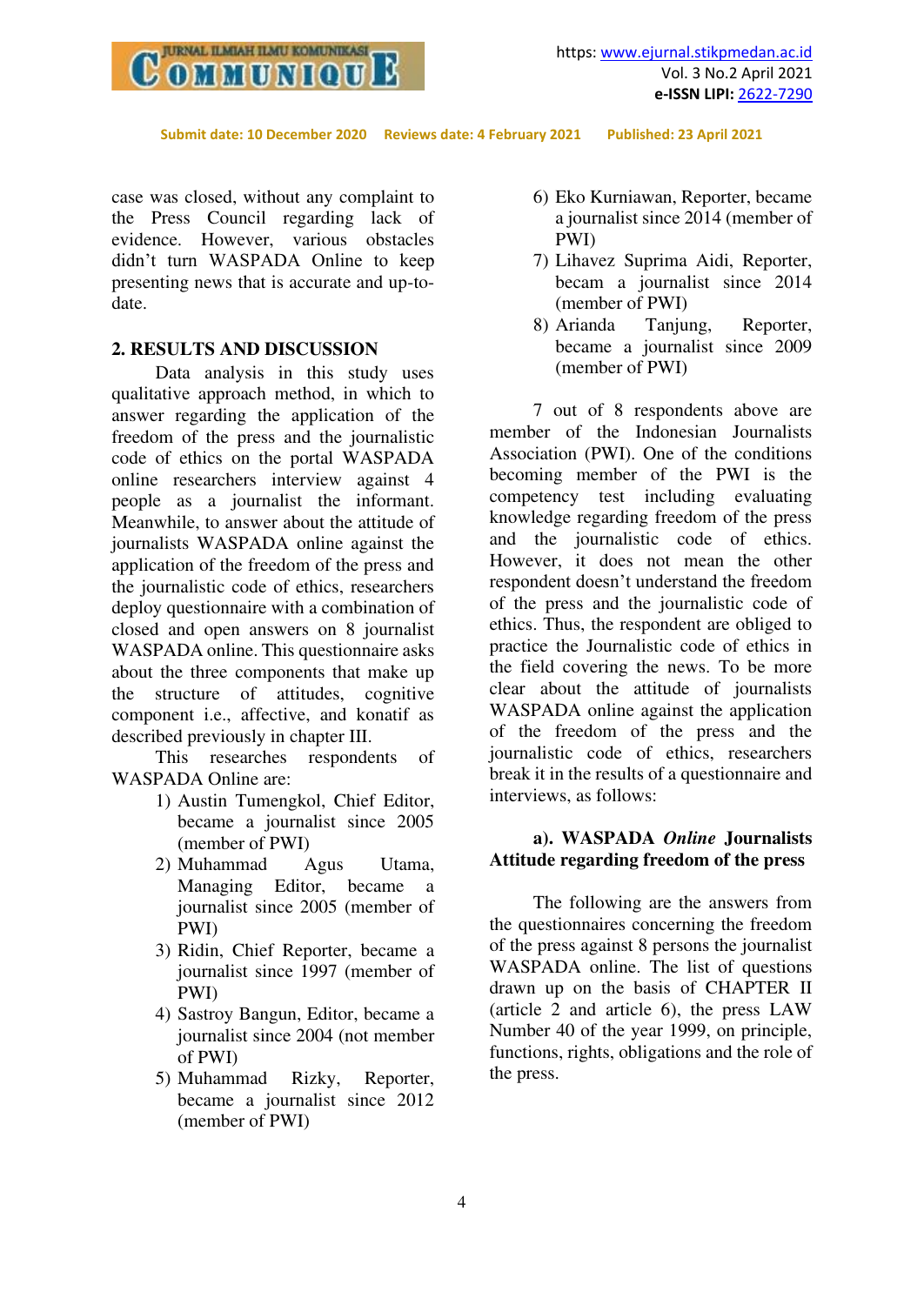

case was closed, without any complaint to the Press Council regarding lack of evidence. However, various obstacles didn't turn WASPADA Online to keep presenting news that is accurate and up-todate.

#### **2. RESULTS AND DISCUSSION**

Data analysis in this study uses qualitative approach method, in which to answer regarding the application of the freedom of the press and the journalistic code of ethics on the portal WASPADA online researchers interview against 4 people as a journalist the informant. Meanwhile, to answer about the attitude of journalists WASPADA online against the application of the freedom of the press and the journalistic code of ethics, researchers deploy questionnaire with a combination of closed and open answers on 8 journalist WASPADA online. This questionnaire asks about the three components that make up the structure of attitudes, cognitive component i.e., affective, and konatif as described previously in chapter III.

This researches respondents of WASPADA Online are:

- 1) Austin Tumengkol, Chief Editor, became a journalist since 2005 (member of PWI)
- 2) Muhammad Agus Utama, Managing Editor, became a journalist since 2005 (member of PWI)
- 3) Ridin, Chief Reporter, became a journalist since 1997 (member of PWI)
- 4) Sastroy Bangun, Editor, became a journalist since 2004 (not member of PWI)
- 5) Muhammad Rizky, Reporter, became a journalist since 2012 (member of PWI)
- 6) Eko Kurniawan, Reporter, became a journalist since 2014 (member of PWI)
- 7) Lihavez Suprima Aidi, Reporter, becam a journalist since 2014 (member of PWI)
- 8) Arianda Tanjung, Reporter, became a journalist since 2009 (member of PWI)

7 out of 8 respondents above are member of the Indonesian Journalists Association (PWI). One of the conditions becoming member of the PWI is the competency test including evaluating knowledge regarding freedom of the press and the journalistic code of ethics. However, it does not mean the other respondent doesn't understand the freedom of the press and the journalistic code of ethics. Thus, the respondent are obliged to practice the Journalistic code of ethics in the field covering the news. To be more clear about the attitude of journalists WASPADA online against the application of the freedom of the press and the journalistic code of ethics, researchers break it in the results of a questionnaire and interviews, as follows:

### **a). WASPADA** *Online* **Journalists Attitude regarding freedom of the press**

The following are the answers from the questionnaires concerning the freedom of the press against 8 persons the journalist WASPADA online. The list of questions drawn up on the basis of CHAPTER II (article 2 and article 6), the press LAW Number 40 of the year 1999, on principle, functions, rights, obligations and the role of the press.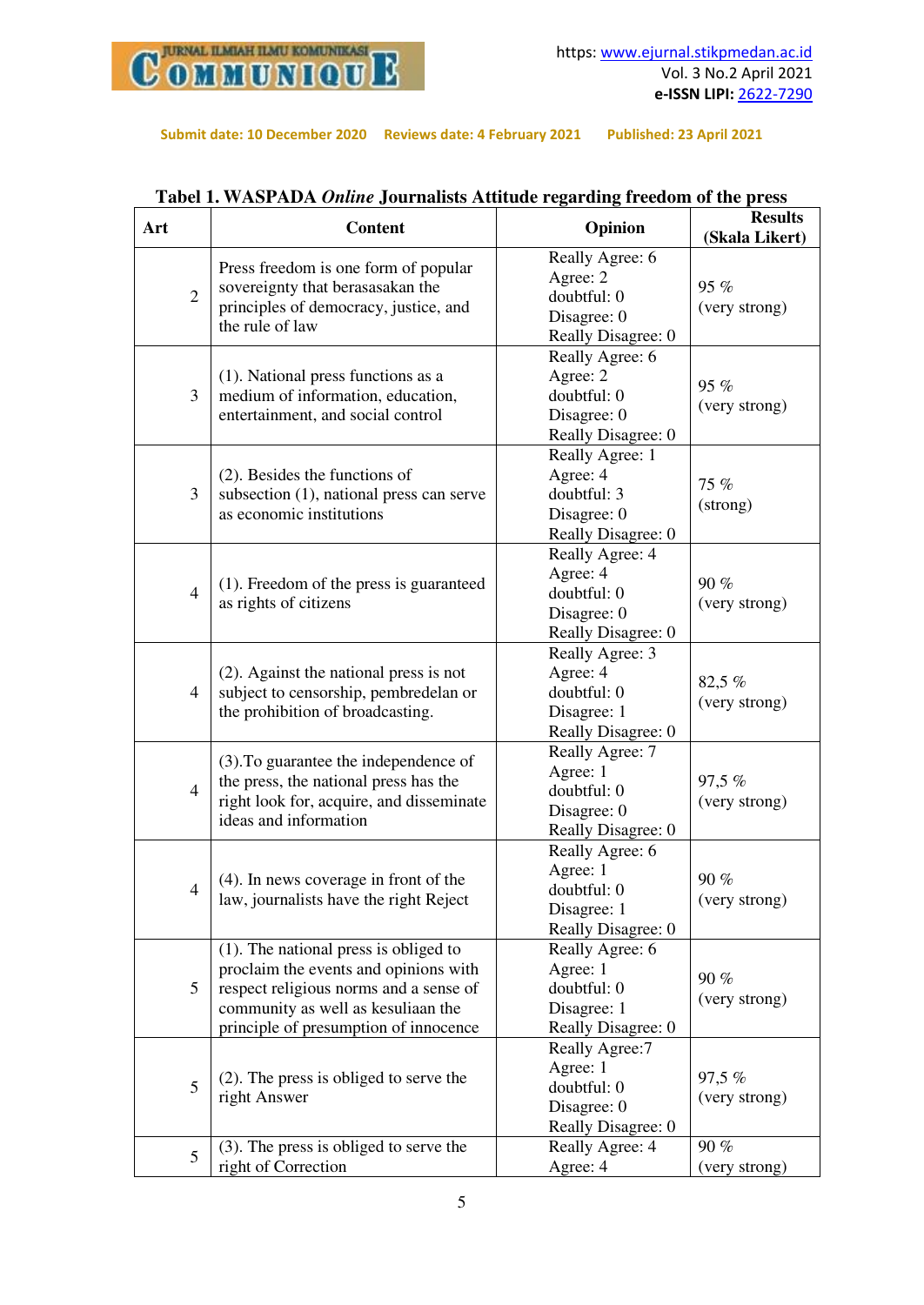

| Art            | <b>Content</b>                                                                                                                                                                                             | Opinion                                                                         | <b>Results</b><br>(Skala Likert) |  |
|----------------|------------------------------------------------------------------------------------------------------------------------------------------------------------------------------------------------------------|---------------------------------------------------------------------------------|----------------------------------|--|
| $\overline{2}$ | Press freedom is one form of popular<br>sovereignty that berasasakan the<br>principles of democracy, justice, and<br>the rule of law                                                                       | Really Agree: 6<br>Agree: 2<br>doubtful: 0<br>Disagree: 0<br>Really Disagree: 0 | 95 %<br>(very strong)            |  |
| 3              | $(1)$ . National press functions as a<br>medium of information, education,<br>entertainment, and social control                                                                                            | Really Agree: 6<br>Agree: 2<br>doubtful: 0<br>Disagree: 0<br>Really Disagree: 0 | 95 %<br>(very strong)            |  |
| 3              | $(2)$ . Besides the functions of<br>subsection $(1)$ , national press can serve<br>as economic institutions                                                                                                | Really Agree: 1<br>Agree: 4<br>doubtful: 3<br>Disagree: 0<br>Really Disagree: 0 | 75 %<br>(strong)                 |  |
| $\overline{4}$ | (1). Freedom of the press is guaranteed<br>as rights of citizens                                                                                                                                           | Really Agree: 4<br>Agree: 4<br>doubtful: 0<br>Disagree: 0<br>Really Disagree: 0 | 90%<br>(very strong)             |  |
| $\overline{4}$ | (2). Against the national press is not<br>subject to censorship, pembredelan or<br>the prohibition of broadcasting.                                                                                        | Really Agree: 3<br>Agree: 4<br>doubtful: 0<br>Disagree: 1<br>Really Disagree: 0 | 82,5 %<br>(very strong)          |  |
| $\overline{4}$ | (3). To guarantee the independence of<br>the press, the national press has the<br>right look for, acquire, and disseminate<br>ideas and information                                                        | Really Agree: 7<br>Agree: 1<br>doubtful: 0<br>Disagree: 0<br>Really Disagree: 0 | 97,5 %<br>(very strong)          |  |
| $\overline{4}$ | (4). In news coverage in front of the<br>law, journalists have the right Reject                                                                                                                            | Really Agree: 6<br>Agree: 1<br>doubtful: 0<br>Disagree: 1<br>Really Disagree: 0 | 90%<br>(very strong)             |  |
| 5              | $(1)$ . The national press is obliged to<br>proclaim the events and opinions with<br>respect religious norms and a sense of<br>community as well as kesuliaan the<br>principle of presumption of innocence | Really Agree: 6<br>Agree: 1<br>doubtful: 0<br>Disagree: 1<br>Really Disagree: 0 | 90 %<br>(very strong)            |  |
| 5              | $(2)$ . The press is obliged to serve the<br>right Answer                                                                                                                                                  | Really Agree:7<br>Agree: 1<br>doubtful: 0<br>Disagree: 0<br>Really Disagree: 0  | 97,5 %<br>(very strong)          |  |
| 5              | (3). The press is obliged to serve the<br>right of Correction                                                                                                                                              | Really Agree: 4<br>Agree: 4                                                     | 90%<br>(very strong)             |  |

# **Tabel 1. WASPADA** *Online* **Journalists Attitude regarding freedom of the press**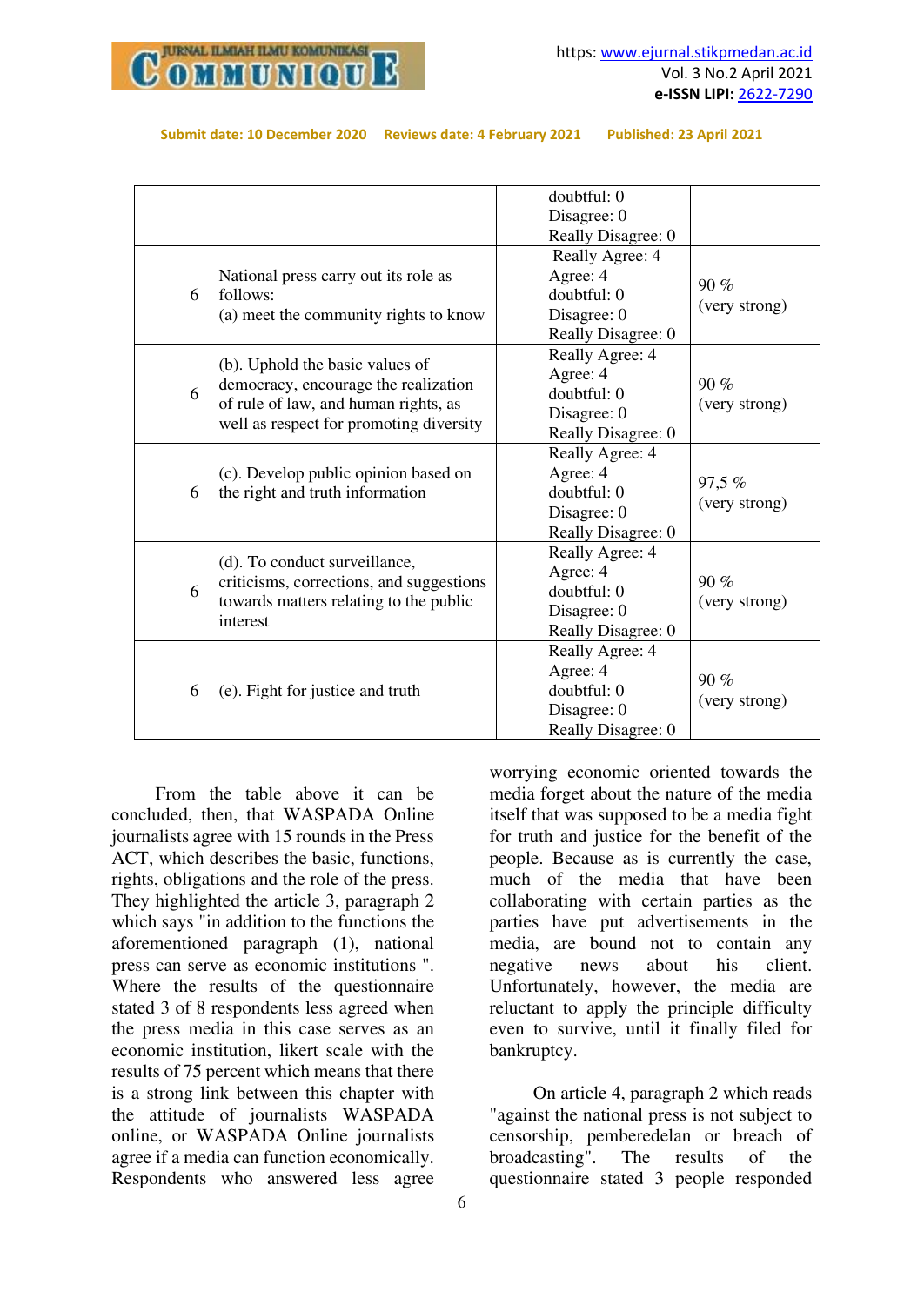

|  | Submit date: 10 December 2020 Reviews date: 4 February 2021 | Published: 23 April 2021 |
|--|-------------------------------------------------------------|--------------------------|
|--|-------------------------------------------------------------|--------------------------|

| 6 | National press carry out its role as<br>follows:<br>(a) meet the community rights to know                                                                  | doubtful: 0<br>Disagree: 0<br>Really Disagree: 0<br>Really Agree: 4<br>Agree: 4<br>doubtful: 0<br>Disagree: 0<br>Really Disagree: 0 | $90\%$<br>(very strong) |
|---|------------------------------------------------------------------------------------------------------------------------------------------------------------|-------------------------------------------------------------------------------------------------------------------------------------|-------------------------|
| 6 | (b). Uphold the basic values of<br>democracy, encourage the realization<br>of rule of law, and human rights, as<br>well as respect for promoting diversity | Really Agree: 4<br>Agree: 4<br>doubtful: 0<br>Disagree: 0<br>Really Disagree: 0                                                     | 90%<br>(very strong)    |
| 6 | (c). Develop public opinion based on<br>the right and truth information                                                                                    | Really Agree: 4<br>Agree: 4<br>doubtful: 0<br>Disagree: 0<br>Really Disagree: 0                                                     | 97,5 %<br>(very strong) |
| 6 | (d). To conduct surveillance,<br>criticisms, corrections, and suggestions<br>towards matters relating to the public<br>interest                            | Really Agree: 4<br>Agree: 4<br>doubtful: 0<br>Disagree: 0<br>Really Disagree: 0                                                     | 90%<br>(very strong)    |
| 6 | (e). Fight for justice and truth                                                                                                                           | Really Agree: 4<br>Agree: 4<br>doubtful: 0<br>Disagree: 0<br>Really Disagree: 0                                                     | $90\%$<br>(very strong) |

From the table above it can be concluded, then, that WASPADA Online journalists agree with 15 rounds in the Press ACT, which describes the basic, functions, rights, obligations and the role of the press. They highlighted the article 3, paragraph 2 which says "in addition to the functions the aforementioned paragraph (1), national press can serve as economic institutions ". Where the results of the questionnaire stated 3 of 8 respondents less agreed when the press media in this case serves as an economic institution, likert scale with the results of 75 percent which means that there is a strong link between this chapter with the attitude of journalists WASPADA online, or WASPADA Online journalists agree if a media can function economically. Respondents who answered less agree worrying economic oriented towards the media forget about the nature of the media itself that was supposed to be a media fight for truth and justice for the benefit of the people. Because as is currently the case, much of the media that have been collaborating with certain parties as the parties have put advertisements in the media, are bound not to contain any negative news about his client. Unfortunately, however, the media are reluctant to apply the principle difficulty even to survive, until it finally filed for bankruptcy.

On article 4, paragraph 2 which reads "against the national press is not subject to censorship, pemberedelan or breach of broadcasting". The results of the questionnaire stated 3 people responded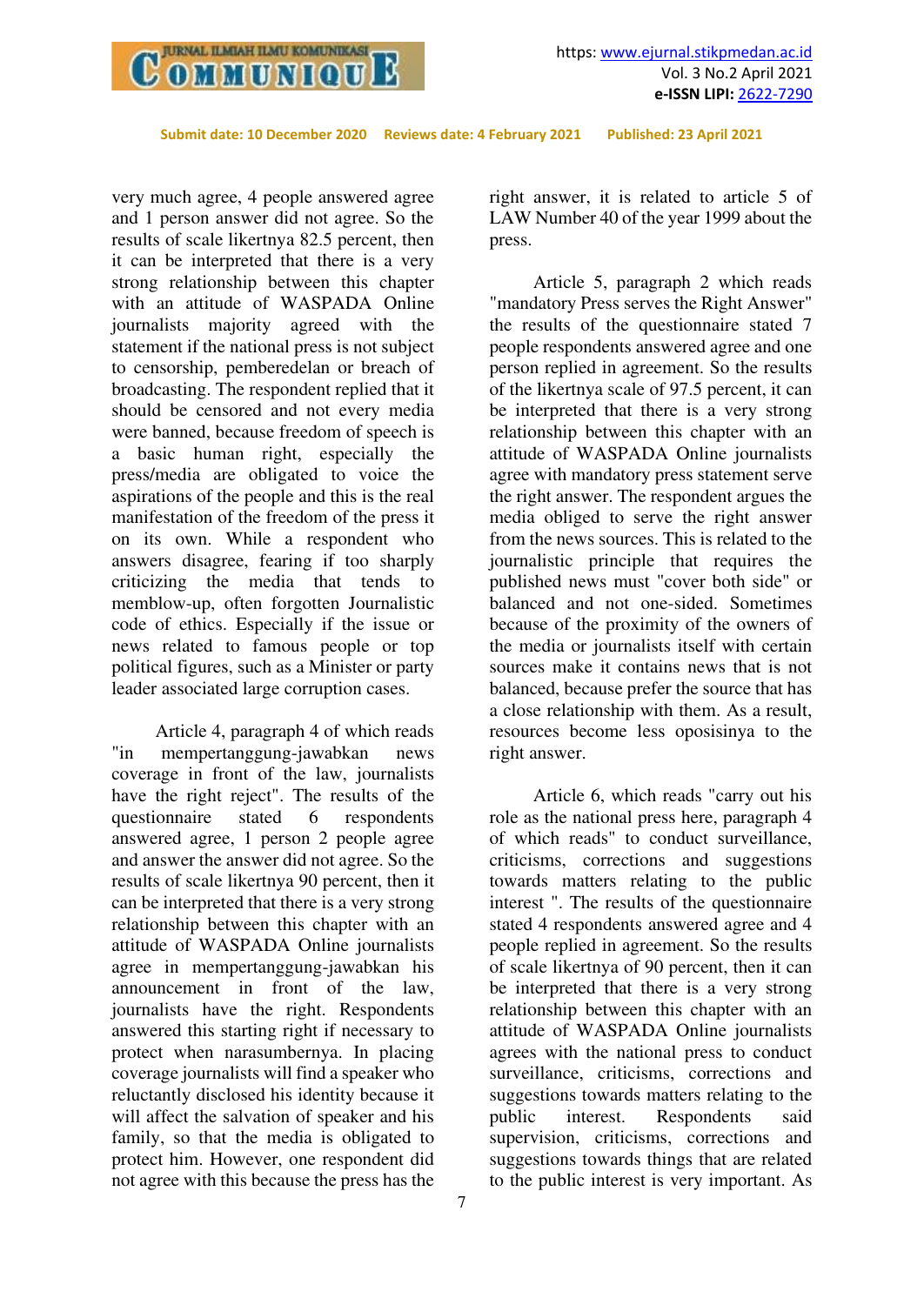

very much agree, 4 people answered agree and 1 person answer did not agree. So the results of scale likertnya 82.5 percent, then it can be interpreted that there is a very strong relationship between this chapter with an attitude of WASPADA Online journalists majority agreed with the statement if the national press is not subject to censorship, pemberedelan or breach of broadcasting. The respondent replied that it should be censored and not every media were banned, because freedom of speech is a basic human right, especially the press/media are obligated to voice the aspirations of the people and this is the real manifestation of the freedom of the press it on its own. While a respondent who answers disagree, fearing if too sharply criticizing the media that tends to memblow-up, often forgotten Journalistic code of ethics. Especially if the issue or news related to famous people or top political figures, such as a Minister or party leader associated large corruption cases.

Article 4, paragraph 4 of which reads "in mempertanggung-jawabkan news coverage in front of the law, journalists have the right reject". The results of the questionnaire stated 6 respondents questionnaire stated 6 respondents answered agree, 1 person 2 people agree and answer the answer did not agree. So the results of scale likertnya 90 percent, then it can be interpreted that there is a very strong relationship between this chapter with an attitude of WASPADA Online journalists agree in mempertanggung-jawabkan his announcement in front of the law, journalists have the right. Respondents answered this starting right if necessary to protect when narasumbernya. In placing coverage journalists will find a speaker who reluctantly disclosed his identity because it will affect the salvation of speaker and his family, so that the media is obligated to protect him. However, one respondent did not agree with this because the press has the

right answer, it is related to article 5 of LAW Number 40 of the year 1999 about the press.

Article 5, paragraph 2 which reads "mandatory Press serves the Right Answer" the results of the questionnaire stated 7 people respondents answered agree and one person replied in agreement. So the results of the likertnya scale of 97.5 percent, it can be interpreted that there is a very strong relationship between this chapter with an attitude of WASPADA Online journalists agree with mandatory press statement serve the right answer. The respondent argues the media obliged to serve the right answer from the news sources. This is related to the journalistic principle that requires the published news must "cover both side" or balanced and not one-sided. Sometimes because of the proximity of the owners of the media or journalists itself with certain sources make it contains news that is not balanced, because prefer the source that has a close relationship with them. As a result, resources become less oposisinya to the right answer.

Article 6, which reads "carry out his role as the national press here, paragraph 4 of which reads" to conduct surveillance, criticisms, corrections and suggestions towards matters relating to the public interest ". The results of the questionnaire stated 4 respondents answered agree and 4 people replied in agreement. So the results of scale likertnya of 90 percent, then it can be interpreted that there is a very strong relationship between this chapter with an attitude of WASPADA Online journalists agrees with the national press to conduct surveillance, criticisms, corrections and suggestions towards matters relating to the public interest. Respondents said supervision, criticisms, corrections and suggestions towards things that are related to the public interest is very important. As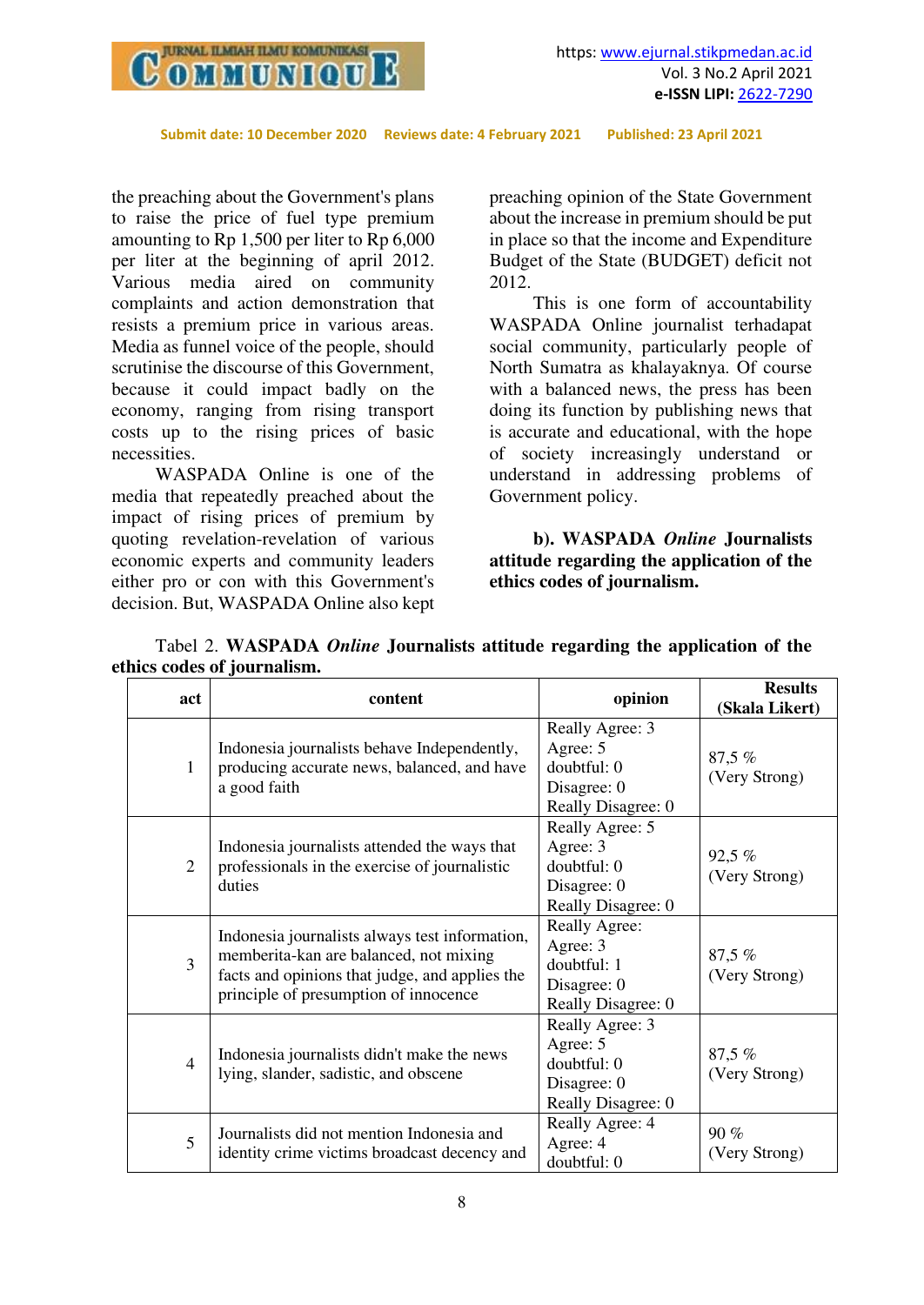

the preaching about the Government's plans to raise the price of fuel type premium amounting to Rp 1,500 per liter to Rp 6,000 per liter at the beginning of april 2012. Various media aired on community complaints and action demonstration that resists a premium price in various areas. Media as funnel voice of the people, should scrutinise the discourse of this Government, because it could impact badly on the economy, ranging from rising transport costs up to the rising prices of basic necessities.

WASPADA Online is one of the media that repeatedly preached about the impact of rising prices of premium by quoting revelation-revelation of various economic experts and community leaders either pro or con with this Government's decision. But, WASPADA Online also kept preaching opinion of the State Government about the increase in premium should be put in place so that the income and Expenditure Budget of the State (BUDGET) deficit not 2012.

This is one form of accountability WASPADA Online journalist terhadapat social community, particularly people of North Sumatra as khalayaknya. Of course with a balanced news, the press has been doing its function by publishing news that is accurate and educational, with the hope of society increasingly understand or understand in addressing problems of Government policy.

**b). WASPADA** *Online* **Journalists attitude regarding the application of the ethics codes of journalism.** 

|  | Tabel 2. WASPADA Online Journalists attitude regarding the application of the |  |  |  |  |
|--|-------------------------------------------------------------------------------|--|--|--|--|
|  | ethics codes of journalism.                                                   |  |  |  |  |
|  |                                                                               |  |  |  |  |

| act            | content                                                                                                                                                                             | opinion                                                                           | <b>Results</b><br>(Skala Likert) |
|----------------|-------------------------------------------------------------------------------------------------------------------------------------------------------------------------------------|-----------------------------------------------------------------------------------|----------------------------------|
| 1              | Indonesia journalists behave Independently,<br>producing accurate news, balanced, and have<br>a good faith                                                                          | Really Agree: 3<br>Agree: 5<br>doubtful: 0<br>Disagree: $0$<br>Really Disagree: 0 | 87,5 %<br>(Very Strong)          |
| $\overline{2}$ | Indonesia journalists attended the ways that<br>professionals in the exercise of journalistic<br>duties                                                                             | Really Agree: 5<br>Agree: 3<br>doubtful: 0<br>Disagree: 0<br>Really Disagree: 0   | 92,5 %<br>(Very Strong)          |
| $\overline{3}$ | Indonesia journalists always test information,<br>memberita-kan are balanced, not mixing<br>facts and opinions that judge, and applies the<br>principle of presumption of innocence | Really Agree:<br>Agree: 3<br>doubtful: 1<br>Disagree: 0<br>Really Disagree: 0     | 87,5 %<br>(Very Strong)          |
| $\overline{4}$ | Indonesia journalists didn't make the news<br>lying, slander, sadistic, and obscene                                                                                                 | Really Agree: 3<br>Agree: 5<br>doubtful: 0<br>Disagree: $0$<br>Really Disagree: 0 | 87,5 %<br>(Very Strong)          |
| 5              | Journalists did not mention Indonesia and<br>identity crime victims broadcast decency and                                                                                           | Really Agree: 4<br>Agree: 4<br>doubtful: 0                                        | 90%<br>(Very Strong)             |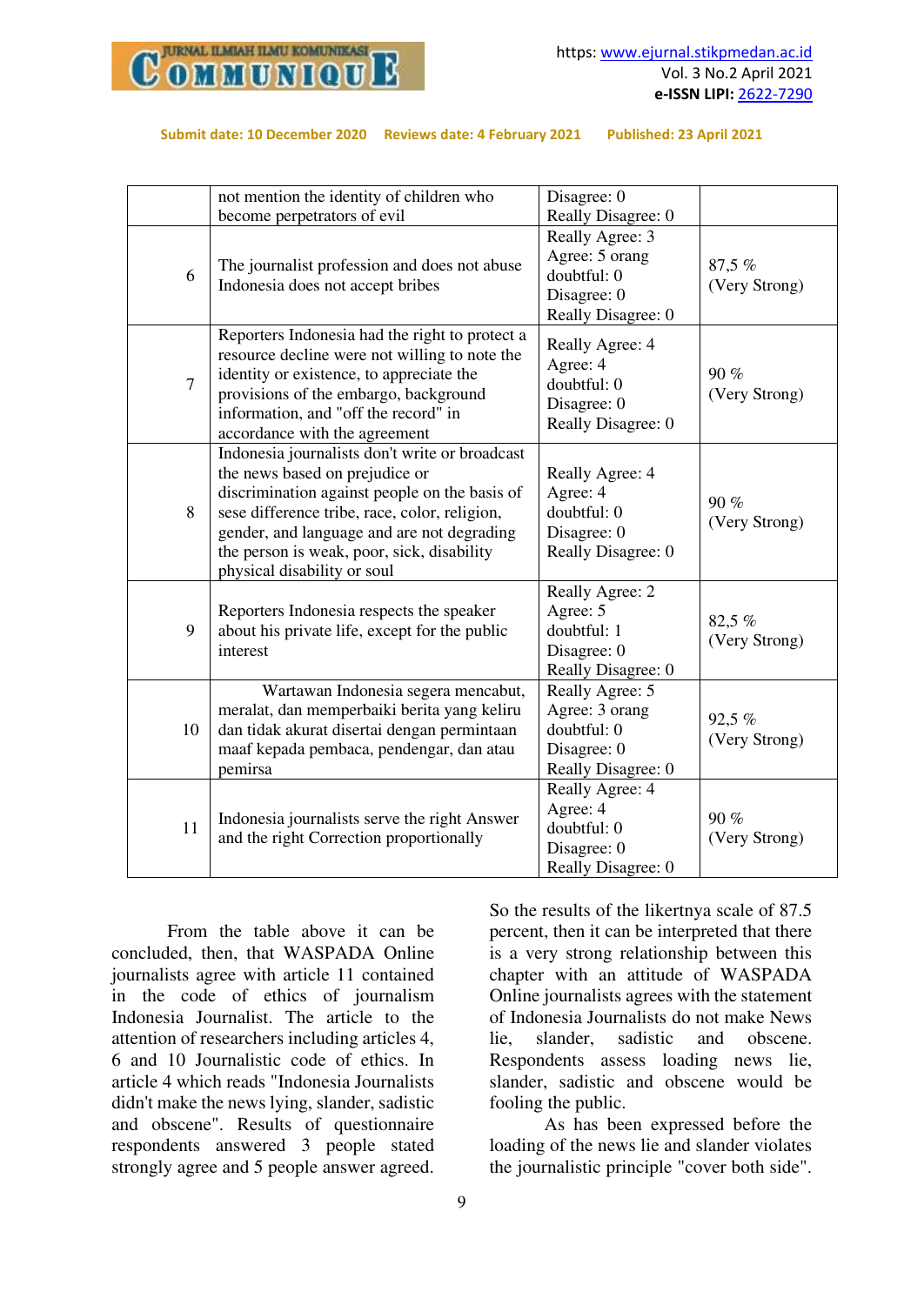

|                | not mention the identity of children who<br>become perpetrators of evil                                                                                                                                                                                                                                       | Disagree: 0<br>Really Disagree: 0                                                     |                         |
|----------------|---------------------------------------------------------------------------------------------------------------------------------------------------------------------------------------------------------------------------------------------------------------------------------------------------------------|---------------------------------------------------------------------------------------|-------------------------|
| 6              | The journalist profession and does not abuse<br>Indonesia does not accept bribes                                                                                                                                                                                                                              | Really Agree: 3<br>Agree: 5 orang<br>doubtful: 0<br>Disagree: 0<br>Really Disagree: 0 | 87,5 %<br>(Very Strong) |
| $\overline{7}$ | Reporters Indonesia had the right to protect a<br>resource decline were not willing to note the<br>identity or existence, to appreciate the<br>provisions of the embargo, background<br>information, and "off the record" in<br>accordance with the agreement                                                 | Really Agree: 4<br>Agree: 4<br>doubtful: 0<br>Disagree: 0<br>Really Disagree: 0       | 90 %<br>(Very Strong)   |
| 8              | Indonesia journalists don't write or broadcast<br>the news based on prejudice or<br>discrimination against people on the basis of<br>sese difference tribe, race, color, religion,<br>gender, and language and are not degrading<br>the person is weak, poor, sick, disability<br>physical disability or soul | Really Agree: 4<br>Agree: 4<br>doubtful: 0<br>Disagree: 0<br>Really Disagree: 0       | 90%<br>(Very Strong)    |
| 9              | Reporters Indonesia respects the speaker<br>about his private life, except for the public<br>interest                                                                                                                                                                                                         | Really Agree: 2<br>Agree: 5<br>doubtful: 1<br>Disagree: 0<br>Really Disagree: 0       | 82,5 %<br>(Very Strong) |
| 10             | Wartawan Indonesia segera mencabut,<br>meralat, dan memperbaiki berita yang keliru<br>dan tidak akurat disertai dengan permintaan<br>maaf kepada pembaca, pendengar, dan atau<br>pemirsa                                                                                                                      | Really Agree: 5<br>Agree: 3 orang<br>doubtful: 0<br>Disagree: 0<br>Really Disagree: 0 | 92,5 %<br>(Very Strong) |
| 11             | Indonesia journalists serve the right Answer<br>and the right Correction proportionally                                                                                                                                                                                                                       | Really Agree: 4<br>Agree: 4<br>doubtful: 0<br>Disagree: 0<br>Really Disagree: 0       | 90%<br>(Very Strong)    |

 From the table above it can be concluded, then, that WASPADA Online journalists agree with article 11 contained in the code of ethics of journalism Indonesia Journalist. The article to the attention of researchers including articles 4, 6 and 10 Journalistic code of ethics. In article 4 which reads "Indonesia Journalists didn't make the news lying, slander, sadistic and obscene". Results of questionnaire respondents answered 3 people stated strongly agree and 5 people answer agreed.

So the results of the likertnya scale of 87.5 percent, then it can be interpreted that there is a very strong relationship between this chapter with an attitude of WASPADA Online journalists agrees with the statement of Indonesia Journalists do not make News lie, slander, sadistic and obscene. Respondents assess loading news lie, slander, sadistic and obscene would be fooling the public.

 As has been expressed before the loading of the news lie and slander violates the journalistic principle "cover both side".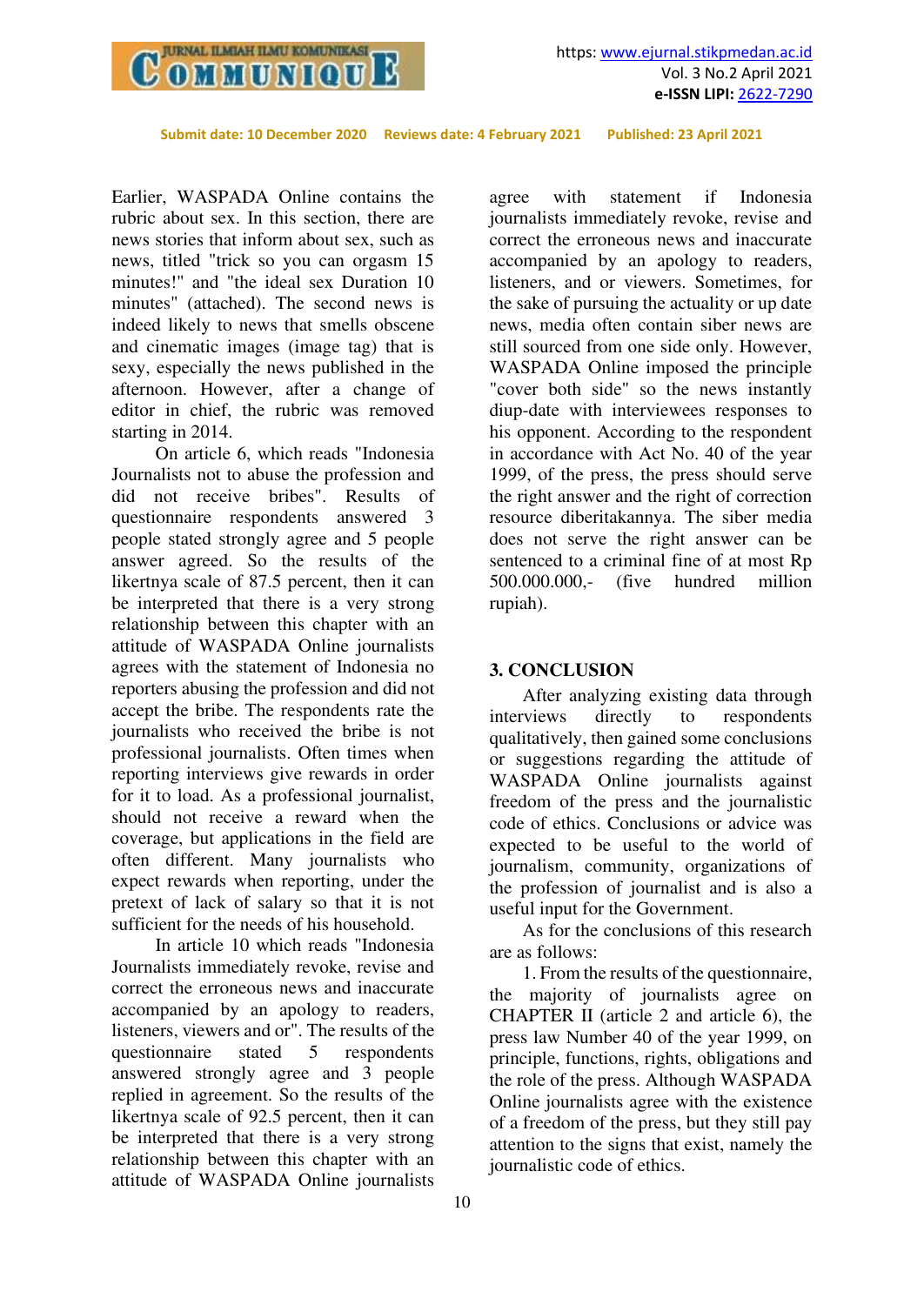

Earlier, WASPADA Online contains the rubric about sex. In this section, there are news stories that inform about sex, such as news, titled "trick so you can orgasm 15 minutes!" and "the ideal sex Duration 10 minutes" (attached). The second news is indeed likely to news that smells obscene and cinematic images (image tag) that is sexy, especially the news published in the afternoon. However, after a change of editor in chief, the rubric was removed starting in 2014.

On article 6, which reads "Indonesia Journalists not to abuse the profession and did not receive bribes". Results of questionnaire respondents answered 3 people stated strongly agree and 5 people answer agreed. So the results of the likertnya scale of 87.5 percent, then it can be interpreted that there is a very strong relationship between this chapter with an attitude of WASPADA Online journalists agrees with the statement of Indonesia no reporters abusing the profession and did not accept the bribe. The respondents rate the journalists who received the bribe is not professional journalists. Often times when reporting interviews give rewards in order for it to load. As a professional journalist, should not receive a reward when the coverage, but applications in the field are often different. Many journalists who expect rewards when reporting, under the pretext of lack of salary so that it is not sufficient for the needs of his household.

In article 10 which reads "Indonesia Journalists immediately revoke, revise and correct the erroneous news and inaccurate accompanied by an apology to readers, listeners, viewers and or". The results of the questionnaire stated 5 respondents answered strongly agree and 3 people replied in agreement. So the results of the likertnya scale of 92.5 percent, then it can be interpreted that there is a very strong relationship between this chapter with an attitude of WASPADA Online journalists

agree with statement if Indonesia journalists immediately revoke, revise and correct the erroneous news and inaccurate accompanied by an apology to readers, listeners, and or viewers. Sometimes, for the sake of pursuing the actuality or up date news, media often contain siber news are still sourced from one side only. However, WASPADA Online imposed the principle "cover both side" so the news instantly diup-date with interviewees responses to his opponent. According to the respondent in accordance with Act No. 40 of the year 1999, of the press, the press should serve the right answer and the right of correction resource diberitakannya. The siber media does not serve the right answer can be sentenced to a criminal fine of at most Rp 500.000.000,- (five hundred million rupiah).

#### **3. CONCLUSION**

After analyzing existing data through interviews directly to respondents qualitatively, then gained some conclusions or suggestions regarding the attitude of WASPADA Online journalists against freedom of the press and the journalistic code of ethics. Conclusions or advice was expected to be useful to the world of journalism, community, organizations of the profession of journalist and is also a useful input for the Government.

As for the conclusions of this research are as follows:

1. From the results of the questionnaire, the majority of journalists agree on CHAPTER II (article 2 and article 6), the press law Number 40 of the year 1999, on principle, functions, rights, obligations and the role of the press. Although WASPADA Online journalists agree with the existence of a freedom of the press, but they still pay attention to the signs that exist, namely the journalistic code of ethics.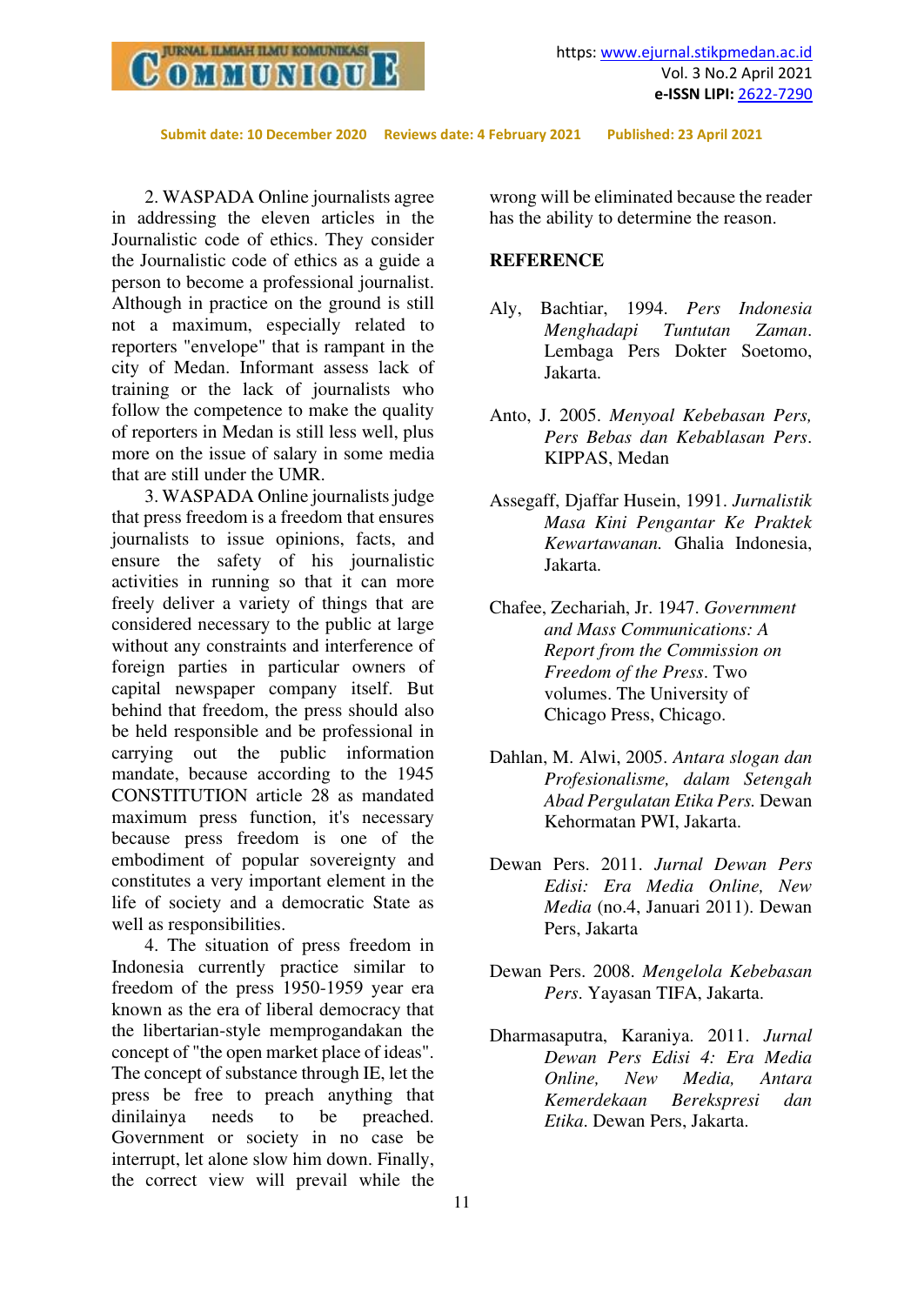

2. WASPADA Online journalists agree in addressing the eleven articles in the Journalistic code of ethics. They consider the Journalistic code of ethics as a guide a person to become a professional journalist. Although in practice on the ground is still not a maximum, especially related to reporters "envelope" that is rampant in the city of Medan. Informant assess lack of training or the lack of journalists who follow the competence to make the quality of reporters in Medan is still less well, plus more on the issue of salary in some media that are still under the UMR.

3. WASPADA Online journalists judge that press freedom is a freedom that ensures journalists to issue opinions, facts, and ensure the safety of his journalistic activities in running so that it can more freely deliver a variety of things that are considered necessary to the public at large without any constraints and interference of foreign parties in particular owners of capital newspaper company itself. But behind that freedom, the press should also be held responsible and be professional in carrying out the public information mandate, because according to the 1945 CONSTITUTION article 28 as mandated maximum press function, it's necessary because press freedom is one of the embodiment of popular sovereignty and constitutes a very important element in the life of society and a democratic State as well as responsibilities.

4. The situation of press freedom in Indonesia currently practice similar to freedom of the press 1950-1959 year era known as the era of liberal democracy that the libertarian-style memprogandakan the concept of "the open market place of ideas". The concept of substance through IE, let the press be free to preach anything that dinilainya needs to be preached. Government or society in no case be interrupt, let alone slow him down. Finally, the correct view will prevail while the

wrong will be eliminated because the reader has the ability to determine the reason.

#### **REFERENCE**

- Aly, Bachtiar, 1994. *Pers Indonesia Menghadapi Tuntutan Zaman*. Lembaga Pers Dokter Soetomo, Jakarta.
- Anto, J. 2005. *Menyoal Kebebasan Pers, Pers Bebas dan Kebablasan Pers*. KIPPAS, Medan
- Assegaff, Djaffar Husein, 1991. *Jurnalistik Masa Kini Pengantar Ke Praktek Kewartawanan.* Ghalia Indonesia, Jakarta.
- Chafee, Zechariah, Jr. 1947. *Government and Mass Communications: A Report from the Commission on Freedom of the Press*. Two volumes. The University of Chicago Press, Chicago.
- Dahlan, M. Alwi, 2005. *Antara slogan dan Profesionalisme, dalam Setengah Abad Pergulatan Etika Pers.* Dewan Kehormatan PWI, Jakarta.
- Dewan Pers. 2011. *Jurnal Dewan Pers Edisi: Era Media Online, New Media* (no.4, Januari 2011). Dewan Pers, Jakarta
- Dewan Pers. 2008. *Mengelola Kebebasan Pers*. Yayasan TIFA, Jakarta.
- Dharmasaputra, Karaniya. 2011. *Jurnal Dewan Pers Edisi 4: Era Media Online, New Media, Antara Kemerdekaan Berekspresi dan Etika*. Dewan Pers, Jakarta.